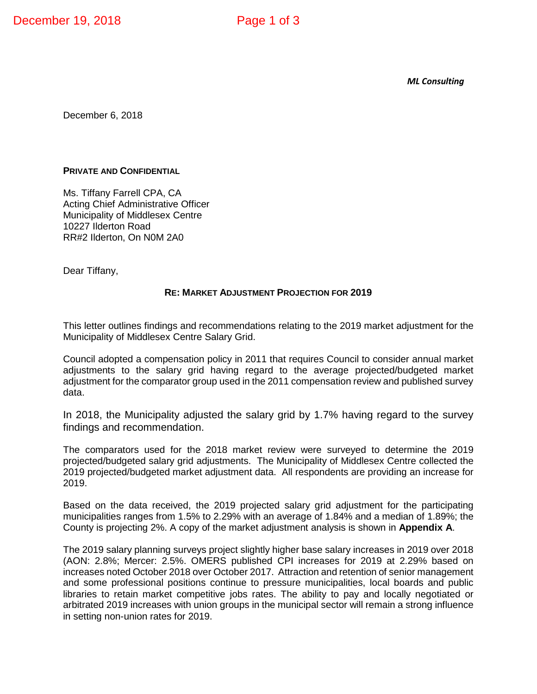*ML Consulting*

December 6, 2018

#### **PRIVATE AND CONFIDENTIAL**

Ms. Tiffany Farrell CPA, CA Acting Chief Administrative Officer Municipality of Middlesex Centre 10227 Ilderton Road RR#2 Ilderton, On N0M 2A0

Dear Tiffany,

#### **RE: MARKET ADJUSTMENT PROJECTION FOR 2019**

This letter outlines findings and recommendations relating to the 2019 market adjustment for the Municipality of Middlesex Centre Salary Grid.

Council adopted a compensation policy in 2011 that requires Council to consider annual market adjustments to the salary grid having regard to the average projected/budgeted market adjustment for the comparator group used in the 2011 compensation review and published survey data.

In 2018, the Municipality adjusted the salary grid by 1.7% having regard to the survey findings and recommendation.

The comparators used for the 2018 market review were surveyed to determine the 2019 projected/budgeted salary grid adjustments. The Municipality of Middlesex Centre collected the 2019 projected/budgeted market adjustment data. All respondents are providing an increase for 2019.

Based on the data received, the 2019 projected salary grid adjustment for the participating municipalities ranges from 1.5% to 2.29% with an average of 1.84% and a median of 1.89%; the County is projecting 2%. A copy of the market adjustment analysis is shown in **Appendix A**.

The 2019 salary planning surveys project slightly higher base salary increases in 2019 over 2018 (AON: 2.8%; Mercer: 2.5%. OMERS published CPI increases for 2019 at 2.29% based on increases noted October 2018 over October 2017. Attraction and retention of senior management and some professional positions continue to pressure municipalities, local boards and public libraries to retain market competitive jobs rates. The ability to pay and locally negotiated or arbitrated 2019 increases with union groups in the municipal sector will remain a strong influence in setting non-union rates for 2019.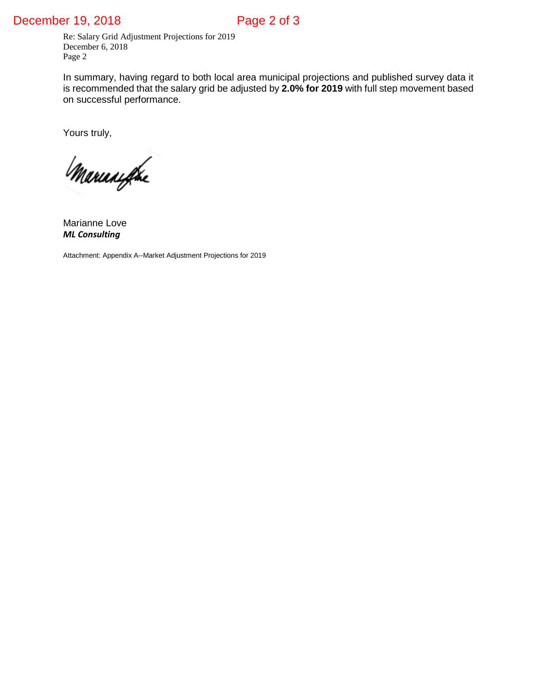### December 19, 2018 Page 2 of 3

Re: Salary Grid Adjustment Projections for 2019 December 6, 2018 Page 2

In summary, having regard to both local area municipal projections and published survey data it is recommended that the salary grid be adjusted by **2.0% for 2019** with full step movement based on successful performance.

Yours truly,

Marianifike

Marianne Love *ML Consulting* 

Attachment: Appendix A--Market Adjustment Projections for 2019